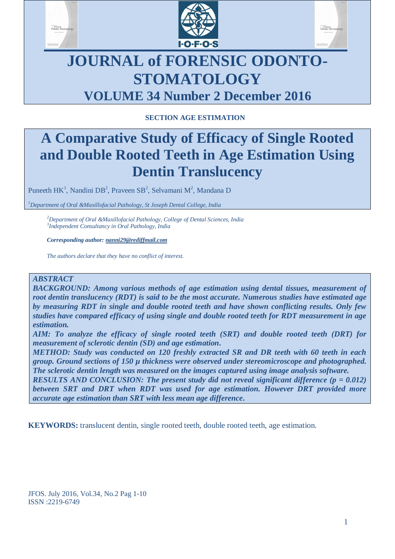





# **JOURNAL of FORENSIC ODONTO-STOMATOLOGY VOLUME 34 Number 2 December 2016**

## **SECTION AGE ESTIMATION**

# **A Comparative Study of Efficacy of Single Rooted and Double Rooted Teeth in Age Estimation Using Dentin Translucency**

Puneeth  $HK^1$ , Nandini DB<sup>2</sup>, Praveen SB<sup>2</sup>, Selvamani M<sup>2</sup>, Mandana D

*<sup>1</sup>Department of Oral &Maxillofacial Pathology, St Joseph Dental College, India*

*<sup>2</sup>Department of Oral &Maxillofacial Pathology, College of Dental Sciences, India 3 Independent Consultancy in Oral Pathology, India*

*Corresponding author: nanni29@rediffmail.com*

*The authors declare that they have no conflict of interest.*

#### *ABSTRACT*

*BACKGROUND: Among various methods of age estimation using dental tissues, measurement of root dentin translucency (RDT) is said to be the most accurate. Numerous studies have estimated age by measuring RDT in single and double rooted teeth and have shown conflicting results. Only few studies have compared efficacy of using single and double rooted teeth for RDT measurement in age estimation.*

*AIM: To analyze the efficacy of single rooted teeth (SRT) and double rooted teeth (DRT) for measurement of sclerotic dentin (SD) and age estimation.*

*METHOD: Study was conducted on 120 freshly extracted SR and DR teeth with 60 teeth in each group. Ground sections of 150 µ thickness were observed under stereomicroscope and photographed. The sclerotic dentin length was measured on the images captured using image analysis software.*

*RESULTS AND CONCLUSION: The present study did not reveal significant difference (p = 0.012) between SRT and DRT when RDT was used for age estimation. However DRT provided more accurate age estimation than SRT with less mean age difference.*

**KEYWORDS:** translucent dentin, single rooted teeth, double rooted teeth, age estimation.

JFOS. July 2016, Vol.34, No.2 Pag 1-10 ISSN :2219-6749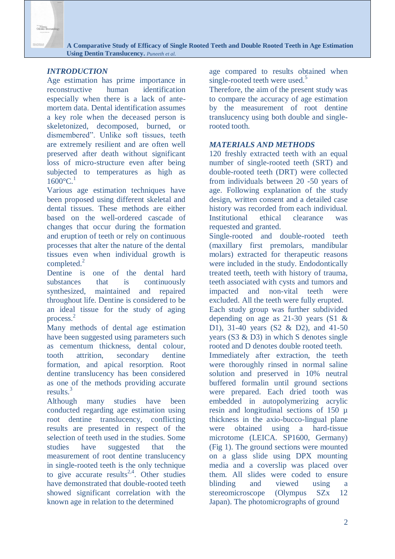## *INTRODUCTION*

Age estimation has prime importance in reconstructive human identification especially when there is a lack of antemortem data. Dental identification assumes a key role when the deceased person is skeletonized, decomposed, burned, or dismembered". Unlike soft tissues, teeth are extremely resilient and are often well preserved after death without significant loss of micro-structure even after being subjected to temperatures as high as  $1600^{\circ}C^{1}$ 

Various age estimation techniques have been proposed using different skeletal and dental tissues. These methods are either based on the well-ordered cascade of changes that occur during the formation and eruption of teeth or rely on continuous processes that alter the nature of the dental tissues even when individual growth is completed. $^{2}$ 

Dentine is one of the dental hard substances that is continuously synthesized, maintained and repaired throughout life. Dentine is considered to be an ideal tissue for the study of aging process. 2

Many methods of dental age estimation have been suggested using parameters such as cementum thickness, dental colour, tooth attrition, secondary dentine formation, and apical resorption. Root dentine translucency has been considered as one of the methods providing accurate results.<sup>3</sup>

Although many studies have been conducted regarding age estimation using root dentine translucency, conflicting results are presented in respect of the selection of teeth used in the studies. Some studies have suggested that the measurement of root dentine translucency in single-rooted teeth is the only technique to give accurate results<sup>2,4</sup>. Other studies have demonstrated that double-rooted teeth showed significant correlation with the known age in relation to the determined

age compared to results obtained when single-rooted teeth were used.<sup>5</sup>

Therefore, the aim of the present study was to compare the accuracy of age estimation by the measurement of root dentine translucency using both double and singlerooted tooth.

## *MATERIALS AND METHODS*

120 freshly extracted teeth with an equal number of single-rooted teeth (SRT) and double-rooted teeth (DRT) were collected from individuals between 20 -50 years of age. Following explanation of the study design, written consent and a detailed case history was recorded from each individual. Institutional ethical clearance was requested and granted.

Single-rooted and double-rooted teeth (maxillary first premolars, mandibular molars) extracted for therapeutic reasons were included in the study. Endodontically treated teeth, teeth with history of trauma, teeth associated with cysts and tumors and impacted and non-vital teeth were excluded. All the teeth were fully erupted. Each study group was further subdivided depending on age as 21-30 years (S1 & D1), 31-40 years (S2 & D2), and 41-50 years (S3 & D3) in which S denotes single rooted and D denotes double rooted teeth. Immediately after extraction, the teeth were thoroughly rinsed in normal saline solution and preserved in 10% neutral buffered formalin until ground sections were prepared. Each dried tooth was embedded in autopolymerizing acrylic resin and longitudinal sections of 150 µ thickness in the axio-bucco-lingual plane were obtained using a hard-tissue microtome (LEICA. SP1600, Germany) (Fig 1). The ground sections were mounted on a glass slide using DPX mounting media and a coverslip was placed over them. All slides were coded to ensure blinding and viewed using a stereomicroscope (Olympus SZx 12 Japan). The photomicrographs of ground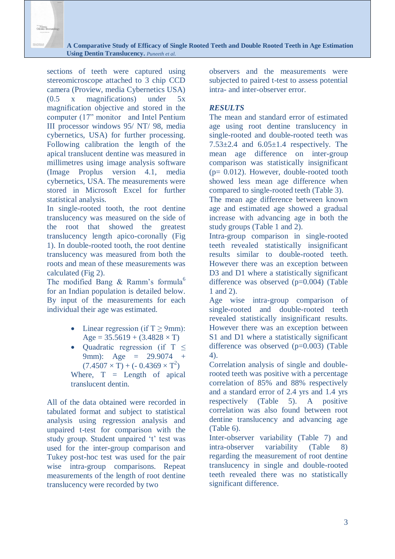sections of teeth were captured using stereomicroscope attached to 3 chip CCD camera (Proview, media Cybernetics USA) (0.5 x magnifications) under 5x magnification objective and stored in the computer (17" monitor and Intel Pentium III processor windows 95/ NT/ 98, media cybernetics, USA) for further processing. Following calibration the length of the apical translucent dentine was measured in millimetres using image analysis software (Image Proplus version 4.1, media cybernetics, USA. The measurements were stored in Microsoft Excel for further statistical analysis.

In single-rooted tooth, the root dentine translucency was measured on the side of the root that showed the greatest translucency length apico-coronally (Fig 1). In double-rooted tooth, the root dentine translucency was measured from both the roots and mean of these measurements was calculated (Fig 2).

The modified Bang & Ramm's formula<sup>6</sup> for an Indian population is detailed below. By input of the measurements for each individual their age was estimated.

- Linear regression (if  $T \ge 9$ mm): Age =  $35.5619 + (3.4828 \times T)$
- Ouadratic regression (if  $T <$ 9mm): Age = 29.9074 +  $(7.4507 \times T) + (-0.4369 \times T^2)$ Where,  $T =$  Length of apical translucent dentin.

All of the data obtained were recorded in tabulated format and subject to statistical analysis using regression analysis and unpaired t-test for comparison with the study group. Student unpaired 't' test was used for the inter-group comparison and Tukey post-hoc test was used for the pair wise intra-group comparisons. Repeat measurements of the length of root dentine translucency were recorded by two

observers and the measurements were subjected to paired t-test to assess potential intra- and inter-observer error.

## *RESULTS*

The mean and standard error of estimated age using root dentine translucency in single-rooted and double-rooted teeth was  $7.53\pm2.4$  and  $6.05\pm1.4$  respectively. The mean age difference on inter-group comparison was statistically insignificant  $(p= 0.012)$ . However, double-rooted tooth showed less mean age difference when compared to single-rooted teeth (Table 3).

The mean age difference between known age and estimated age showed a gradual increase with advancing age in both the study groups (Table 1 and 2).

Intra-group comparison in single-rooted teeth revealed statistically insignificant results similar to double-rooted teeth. However there was an exception between D<sub>3</sub> and D<sub>1</sub> where a statistically significant difference was observed (p=0.004) (Table 1 and 2).

Age wise intra-group comparison of single-rooted and double-rooted teeth revealed statistically insignificant results. However there was an exception between S1 and D1 where a statistically significant difference was observed (p=0.003) (Table 4).

Correlation analysis of single and doublerooted teeth was positive with a percentage correlation of 85% and 88% respectively and a standard error of 2.4 yrs and 1.4 yrs respectively (Table 5). A positive correlation was also found between root dentine translucency and advancing age (Table 6).

Inter-observer variability (Table 7) and intra-observer variability (Table 8) regarding the measurement of root dentine translucency in single and double-rooted teeth revealed there was no statistically significant difference.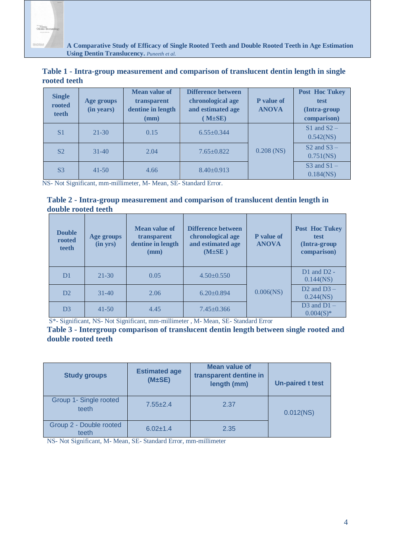Porensic<br>Odonto-Si

 **A Comparative Study of Efficacy of Single Rooted Teeth and Double Rooted Teeth in Age Estimation Using Dentin Translucency.** *Puneeth et al.*

**Table 1 - Intra-group measurement and comparison of translucent dentin length in single rooted teeth**

| <b>Single</b><br>rooted<br>teeth | Age groups<br>(in years) | <b>Mean value of</b><br>transparent<br>dentine in length<br>(mm) | <b>Difference between</b><br>chronological age<br>and estimated age<br>$(M \pm SE)$ | <b>P</b> value of<br><b>ANOVA</b> | <b>Post Hoc Tukey</b><br>test<br>(Intra-group<br>comparison) |
|----------------------------------|--------------------------|------------------------------------------------------------------|-------------------------------------------------------------------------------------|-----------------------------------|--------------------------------------------------------------|
| S <sub>1</sub>                   | $21 - 30$                | 0.15                                                             | $6.55+0.344$                                                                        | $0.208$ (NS)                      | $S1$ and $S2 -$<br>$0.542$ (NS)                              |
| S <sub>2</sub>                   | $31 - 40$                | 2.04                                                             | $7.65 \pm 0.822$                                                                    |                                   | $S2$ and $S3 -$<br>$0.751$ (NS)                              |
| S <sub>3</sub>                   | $41 - 50$                | 4.66                                                             | $8.40 \pm 0.913$                                                                    |                                   | $S3$ and $S1 -$<br>$0.184$ (NS)                              |

NS- Not Significant, mm-millimeter, M- Mean, SE- Standard Error.

#### **Table 2 - Intra-group measurement and comparison of translucent dentin length in double rooted teeth**

| <b>Double</b><br>rooted<br>teeth | Age groups<br>(in yrs) | <b>Mean value of</b><br>transparent<br>dentine in length<br>(mm) | <b>Difference between</b><br>chronological age<br>and estimated age<br>$(M \pm SE)$ | <b>P</b> value of<br><b>ANOVA</b> | <b>Post Hoc Tukey</b><br>test<br>(Intra-group<br>comparison) |
|----------------------------------|------------------------|------------------------------------------------------------------|-------------------------------------------------------------------------------------|-----------------------------------|--------------------------------------------------------------|
| D <sub>1</sub>                   | $21 - 30$              | 0.05                                                             | $4.50 \pm 0.550$                                                                    |                                   | $D1$ and $D2$ -<br>$0.144$ (NS)                              |
| D2                               | $31 - 40$              | 2.06                                                             | $6.20 \pm 0.894$                                                                    | $0.006$ (NS)                      | D <sub>2</sub> and $D_3$ –<br>$0.244$ (NS)                   |
| D <sub>3</sub>                   | $41 - 50$              | 4.45                                                             | $7.45 \pm 0.366$                                                                    |                                   | $D3$ and $D1 -$<br>$0.004(S)^*$                              |

S\*- Significant, NS- Not Significant, mm-millimeter , M- Mean, SE- Standard Error

#### **Table 3 - Intergroup comparison of translucent dentin length between single rooted and double rooted teeth**

| <b>Study groups</b>              | <b>Estimated age</b><br>(M±SE) | <b>Mean value of</b><br>transparent dentine in<br>length (mm) | <b>Un-paired t test</b> |
|----------------------------------|--------------------------------|---------------------------------------------------------------|-------------------------|
| Group 1- Single rooted<br>teeth  | $7.55 \pm 2.4$                 | 2.37                                                          | $0.012$ (NS)            |
| Group 2 - Double rooted<br>teeth | $6.02 \pm 1.4$                 | 2.35                                                          |                         |

NS- Not Significant, M- Mean, SE- Standard Error, mm-millimeter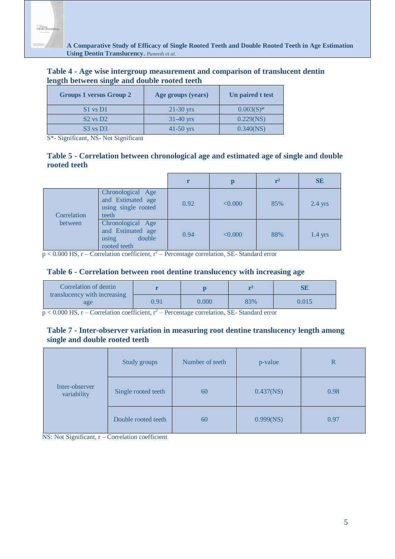| Table 4 - Age wise intergroup measurement and comparison of translucent dentin |  |
|--------------------------------------------------------------------------------|--|
| length between single and double rooted teeth                                  |  |

| <b>Groups 1 versus Group 2</b> | Age groups (years) | Un paired t test |
|--------------------------------|--------------------|------------------|
| $S1$ vs D1                     | $21-30$ yrs        | $0.003(S)^*$     |
| $S2$ vs $D2$                   | $31-40$ yrs        | 0.229(NS)        |
| $S3$ vs D <sub>3</sub>         | $41 - 50$ yrs      | 0.340(NS)        |

S\*- Significant, NS- Not Significant

## **Table 5 - Correlation between chronological age and estimated age of single and double rooted teeth**

|             |                                                                           | r    |         | r <sup>2</sup> | <b>SE</b> |
|-------------|---------------------------------------------------------------------------|------|---------|----------------|-----------|
| Correlation | Chronological Age<br>and Estimated age<br>using single rooted<br>teeth    | 0.92 | < 0.000 | 85%            | $2.4$ yrs |
| between     | Chronological Age<br>and Estimated age<br>double<br>using<br>rooted teeth | 0.94 | < 0.000 | 88%            | $1.4$ yrs |

 $p < 0.000$  HS, r – Correlation coefficient, r<sup>2</sup> – Percentage correlation, SE- Standard error

#### **Table 6 - Correlation between root dentine translucency with increasing age**

| Correlation of dentin<br>translucency with increasing |      |       |     |       |
|-------------------------------------------------------|------|-------|-----|-------|
| age                                                   | 0.91 | 0.000 | 83% | 0.015 |

 $p < 0.000$  HS, r – Correlation coefficient, r<sup>2</sup> – Percentage correlation, SE- Standard error

## **Table 7 - Inter-observer variation in measuring root dentine translucency length among single and double rooted teeth**

|                               | Study groups        | Number of teeth | p-value      | $\mathbb R$ |
|-------------------------------|---------------------|-----------------|--------------|-------------|
| Inter-observer<br>variability | Single rooted teeth | 60              | $0.437$ (NS) | 0.98        |
|                               | Double rooted teeth | 60              | 0.999(NS)    | 0.97        |

NS: Not Significant, r – Correlation coefficient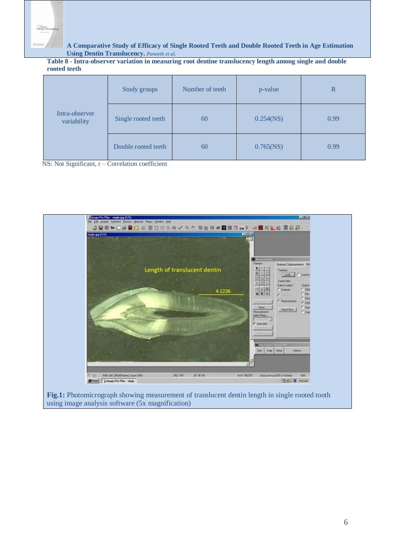

**Table 8 - Intra-observer variation in measuring root dentine translucency length among single and double rooted teeth**

|                               | Study groups        | Number of teeth<br>p-value |              | $\mathbb{R}$ |
|-------------------------------|---------------------|----------------------------|--------------|--------------|
| Intra-observer<br>variability | Single rooted teeth | 60                         | $0.254$ (NS) | 0.99         |
|                               | Double rooted teeth | 60                         | $0.765$ (NS) | 0.99         |

NS: Not Significant, r – Correlation coefficient



using image analysis software (5x magnification)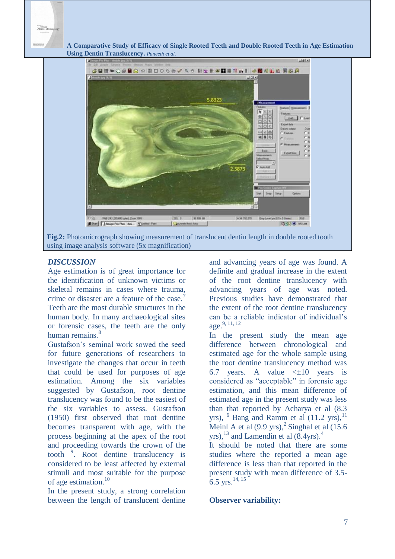





## *DISCUSSION*

Age estimation is of great importance for the identification of unknown victims or skeletal remains in cases where trauma, crime or disaster are a feature of the case.<sup>7</sup> Teeth are the most durable structures in the human body. In many archaeological sites or forensic cases, the teeth are the only human remains.<sup>8</sup>

Gustafson's seminal work sowed the seed for future generations of researchers to investigate the changes that occur in teeth that could be used for purposes of age estimation. Among the six variables suggested by Gustafson, root dentine translucency was found to be the easiest of the six variables to assess. Gustafson (1950) first observed that root dentine becomes transparent with age, with the process beginning at the apex of the root and proceeding towards the crown of the tooth <sup>9</sup> . Root dentine translucency is considered to be least affected by external stimuli and most suitable for the purpose of age estimation.<sup>10</sup>

In the present study, a strong correlation between the length of translucent dentine

and advancing years of age was found. A definite and gradual increase in the extent of the root dentine translucency with advancing years of age was noted. Previous studies have demonstrated that the extent of the root dentine translucency can be a reliable indicator of individual's age.9, 11, 12

In the present study the mean age difference between chronological and estimated age for the whole sample using the root dentine translucency method was 6.7 years. A value  $\leq \pm 10$  years is considered as "acceptable" in forensic age estimation, and this mean difference of estimated age in the present study was less than that reported by Acharya et al (8.3 yrs),  $<sup>6</sup>$  Bang and Ramm et al (11.2 yrs),  $<sup>11</sup>$ </sup></sup> Meinl A et al  $(9.9 \text{ yrs})$ ,  $^{2}$  Singhal et al  $(15.6 \text{ m})$ yrs),  $^{13}$  and Lamendin et al  $(8.4)$ yrs).<sup>4</sup>

It should be noted that there are some studies where the reported a mean age difference is less than that reported in the present study with mean difference of 3.5- 6.5 yrs.<sup>14, 15</sup>

#### **Observer variability:**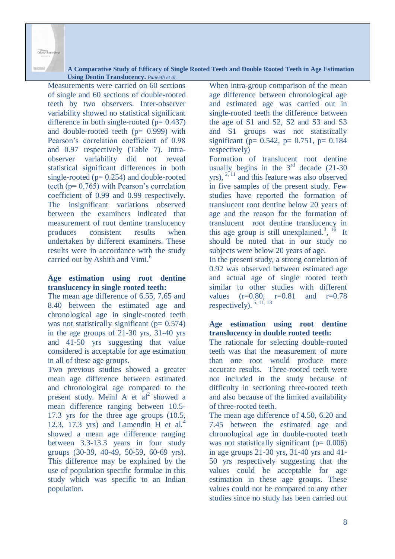

Measurements were carried on 60 sections of single and 60 sections of double-rooted teeth by two observers. Inter-observer variability showed no statistical significant difference in both single-rooted  $(p= 0.437)$ and double-rooted teeth  $(p= 0.999)$  with Pearson's correlation coefficient of 0.98 and 0.97 respectively (Table 7). Intraobserver variability did not reveal statistical significant differences in both single-rooted ( $p= 0.254$ ) and double-rooted teeth (p= 0.765) with Pearson's correlation coefficient of 0.99 and 0.99 respectively. The insignificant variations observed between the examiners indicated that measurement of root dentine translucency produces consistent results when undertaken by different examiners. These results were in accordance with the study carried out by Ashith and Vimi.<sup>6</sup>

### **Age estimation using root dentine translucency in single rooted teeth:**

The mean age difference of 6.55, 7.65 and 8.40 between the estimated age and chronological age in single-rooted teeth was not statistically significant ( $p= 0.574$ ) in the age groups of 21-30 yrs, 31-40 yrs and 41-50 yrs suggesting that value considered is acceptable for age estimation in all of these age groups.

Two previous studies showed a greater mean age difference between estimated and chronological age compared to the present study. Meinl A et  $al<sup>2</sup>$  showed a mean difference ranging between 10.5- 17.3 yrs for the three age groups (10.5, 12.3, 17.3 yrs) and Lamendin H et al.<sup>4</sup> showed a mean age difference ranging between 3.3-13.3 years in four study groups (30-39, 40-49, 50-59, 60-69 yrs). This difference may be explained by the use of population specific formulae in this study which was specific to an Indian population.

When intra-group comparison of the mean age difference between chronological age and estimated age was carried out in single-rooted teeth the difference between the age of S1 and S2, S2 and S3 and S3 and S1 groups was not statistically significant ( $p= 0.542$ ,  $p= 0.751$ ,  $p= 0.184$ respectively)

Formation of translucent root dentine usually begins in the  $3<sup>rd</sup>$  decade (21-30) yrs),  $2\frac{1}{11}$  and this feature was also observed in five samples of the present study. Few studies have reported the formation of translucent root dentine below 20 years of age and the reason for the formation of translucent root dentine translucency in this age group is still unexplained.<sup>3</sup>, <sup>16</sup> It should be noted that in our study no subjects were below 20 years of age.

In the present study, a strong correlation of 0.92 was observed between estimated age and actual age of single rooted teeth similar to other studies with different values  $(r=0.80, r=0.81$  and  $r=0.78$ respectively).  $5, 11, 13$ 

## **Age estimation using root dentine translucency in double rooted teeth:**

The rationale for selecting double-rooted teeth was that the measurement of more than one root would produce more accurate results. Three-rooted teeth were not included in the study because of difficulty in sectioning three-rooted teeth and also because of the limited availability of three-rooted teeth.

The mean age difference of 4.50, 6.20 and 7.45 between the estimated age and chronological age in double-rooted teeth was not statistically significant  $(p= 0.006)$ in age groups 21-30 yrs, 31-40 yrs and 41- 50 yrs respectively suggesting that the values could be acceptable for age estimation in these age groups. These values could not be compared to any other studies since no study has been carried out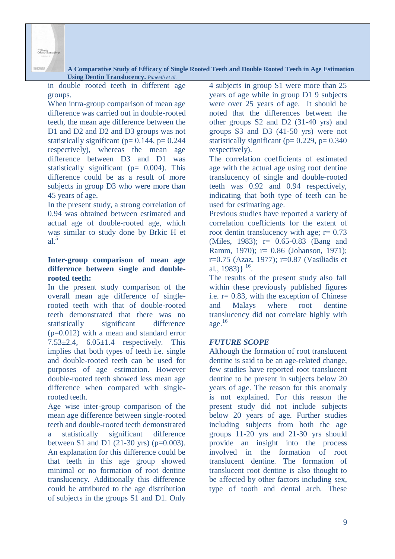

in double rooted teeth in different age groups.

When intra-group comparison of mean age difference was carried out in double-rooted teeth, the mean age difference between the D1 and D2 and D2 and D3 groups was not statistically significant ( $p= 0.144$ ,  $p= 0.244$ respectively), whereas the mean age difference between D3 and D1 was statistically significant ( $p= 0.004$ ). This difference could be as a result of more subjects in group D3 who were more than 45 years of age.

In the present study, a strong correlation of 0.94 was obtained between estimated and actual age of double-rooted age, which was similar to study done by Brkic H et  $a^{\frac{5}{2}}$ 

## **Inter-group comparison of mean age difference between single and doublerooted teeth:**

In the present study comparison of the overall mean age difference of singlerooted teeth with that of double-rooted teeth demonstrated that there was no statistically significant difference (p=0.012) with a mean and standard error 7.53 $\pm$ 2.4, 6.05 $\pm$ 1.4 respectively. This implies that both types of teeth i.e. single and double-rooted teeth can be used for purposes of age estimation. However double-rooted teeth showed less mean age difference when compared with singlerooted teeth.

Age wise inter-group comparison of the mean age difference between single-rooted teeth and double-rooted teeth demonstrated a statistically significant difference between S1 and D1 (21-30 yrs) ( $p=0.003$ ). An explanation for this difference could be that teeth in this age group showed minimal or no formation of root dentine translucency. Additionally this difference could be attributed to the age distribution of subjects in the groups S1 and D1. Only 4 subjects in group S1 were more than 25 years of age while in group D1 9 subjects were over 25 years of age. It should be noted that the differences between the other groups S2 and D2 (31-40 yrs) and groups S3 and D3 (41-50 yrs) were not statistically significant ( $p= 0.229$ ,  $p= 0.340$ respectively).

The correlation coefficients of estimated age with the actual age using root dentine translucency of single and double-rooted teeth was 0.92 and 0.94 respectively, indicating that both type of teeth can be used for estimating age.

Previous studies have reported a variety of correlation coefficients for the extent of root dentin translucency with age;  $r = 0.73$ (Miles, 1983); r= 0.65-0.83 (Bang and Ramm, 1970); r= 0.86 (Johanson, 1971); r=0.75 (Azaz, 1977); r=0.87 (Vasiliadis et al., 1983) $\}$ <sup>16</sup>.

The results of the present study also fall within these previously published figures i.e.  $r = 0.83$ , with the exception of Chinese and Malays where root dentine translucency did not correlate highly with age. $16$ 

## *FUTURE SCOPE*

Although the formation of root translucent dentine is said to be an age-related change, few studies have reported root translucent dentine to be present in subjects below 20 years of age. The reason for this anomaly is not explained. For this reason the present study did not include subjects below 20 years of age. Further studies including subjects from both the age groups 11-20 yrs and 21-30 yrs should provide an insight into the process involved in the formation of root translucent dentine. The formation of translucent root dentine is also thought to be affected by other factors including sex, type of tooth and dental arch. These